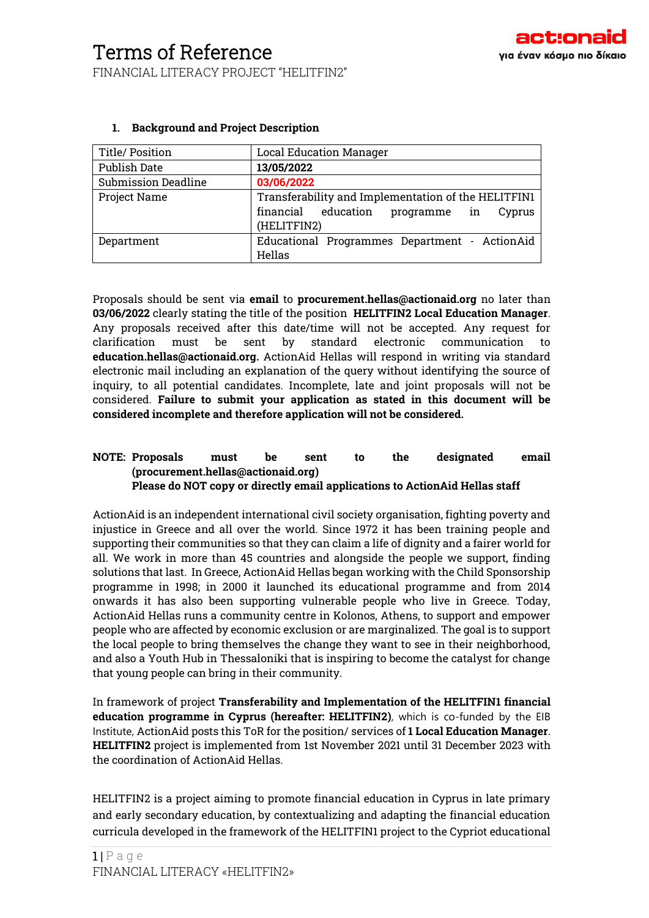| Title/ Position            | <b>Local Education Manager</b>                      |  |  |
|----------------------------|-----------------------------------------------------|--|--|
| <b>Publish Date</b>        | 13/05/2022                                          |  |  |
| <b>Submission Deadline</b> | 03/06/2022                                          |  |  |
| Project Name               | Transferability and Implementation of the HELITFIN1 |  |  |
|                            | financial education<br>programme in<br>Cyprus       |  |  |
|                            | (HELITFIN2)                                         |  |  |
| Department                 | Educational Programmes Department - ActionAid       |  |  |
|                            | Hellas                                              |  |  |

## **1. Background and Project Description**

Proposals should be sent via **email** to **procurement.hellas@actionaid.org** no later than **03/06/2022** clearly stating the title of the position **HELITFIN2 Local Education Manager**. Any proposals received after this date/time will not be accepted. Any request for clarification must be sent by standard electronic communication to **education.hellas@actionaid.org.** ActionAid Hellas will respond in writing via standard electronic mail including an explanation of the query without identifying the source of inquiry, to all potential candidates. Incomplete, late and joint proposals will not be considered. **Failure to submit your application as stated in this document will be considered incomplete and therefore application will not be considered.** 

#### **NOTE: Proposals must be sent to the designated email (procurement.hellas@actionaid.org) Please do NOT copy or directly email applications to ActionAid Hellas staff**

ActionAid is an independent international civil society organisation, fighting poverty and injustice in Greece and all over the world. Since 1972 it has been training people and supporting their communities so that they can claim a life of dignity and a fairer world for all. We work in more than 45 countries and alongside the people we support, finding solutions that last. In Greece, ActionAid Hellas began working with the Child Sponsorship programme in 1998; in 2000 it launched its educational programme and from 2014 onwards it has also been supporting vulnerable people who live in Greece. Today, ActionAid Hellas runs a community centre in Kolonos, Athens, to support and empower people who are affected by economic exclusion or are marginalized. The goal is to support the local people to bring themselves the change they want to see in their neighborhood, and also a Youth Hub in Thessaloniki that is inspiring to become the catalyst for change that young people can bring in their community.

In framework of project **Transferability and Implementation of the HELITFIN1 financial education programme in Cyprus (hereafter: HELITFIN2)**, which is co-funded by the EIB Institute, ActionAid posts this ToR for the position/ services of **1 Local Education Manager**. **HELITFIN2** project is implemented from 1st November 2021 until 31 December 2023 with the coordination of ActionAid Hellas.

HELITFIN2 is a project aiming to promote financial education in Cyprus in late primary and early secondary education, by contextualizing and adapting the financial education curricula developed in the framework of the HELITFIN1 project to the Cypriot educational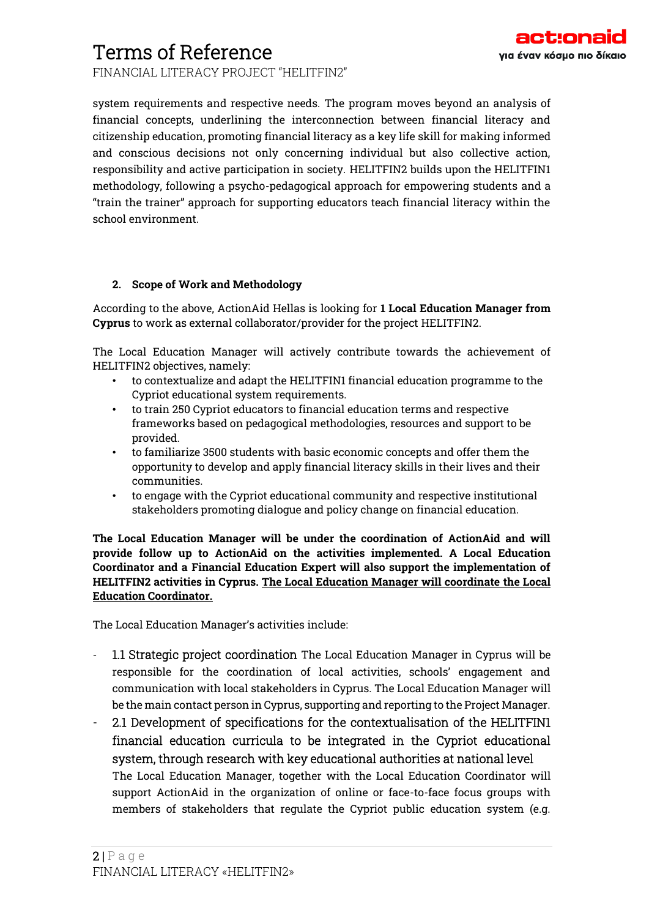FINANCIAL LITERACY PROJECT "HELITFIN2"

system requirements and respective needs. The program moves beyond an analysis of financial concepts, underlining the interconnection between financial literacy and citizenship education, promoting financial literacy as a key life skill for making informed and conscious decisions not only concerning individual but also collective action, responsibility and active participation in society. HELITFIN2 builds upon the HELITFIN1 methodology, following a psycho-pedagogical approach for empowering students and a "train the trainer" approach for supporting educators teach financial literacy within the school environment.

### **2. Scope of Work and Methodology**

According to the above, ActionAid Hellas is looking for **1 Local Education Manager from Cyprus** to work as external collaborator/provider for the project HELITFIN2.

The Local Education Manager will actively contribute towards the achievement of HELITFIN2 objectives, namely:

- to contextualize and adapt the HELITFIN1 financial education programme to the Cypriot educational system requirements.
- to train 250 Cypriot educators to financial education terms and respective frameworks based on pedagogical methodologies, resources and support to be provided.
- to familiarize 3500 students with basic economic concepts and offer them the opportunity to develop and apply financial literacy skills in their lives and their communities.
- to engage with the Cypriot educational community and respective institutional stakeholders promoting dialogue and policy change on financial education.

**The Local Education Manager will be under the coordination of ActionAid and will provide follow up to ActionAid on the activities implemented. A Local Education Coordinator and a Financial Education Expert will also support the implementation of HELITFIN2 activities in Cyprus. The Local Education Manager will coordinate the Local Education Coordinator.**

The Local Education Manager's activities include:

- 1.1 Strategic project coordination The Local Education Manager in Cyprus will be responsible for the coordination of local activities, schools' engagement and communication with local stakeholders in Cyprus. The Local Education Manager will be the main contact person in Cyprus, supporting and reporting to the Project Manager.
- 2.1 Development of specifications for the contextualisation of the HELITFIN1 financial education curricula to be integrated in the Cypriot educational system, through research with key educational authorities at national level The Local Education Manager, together with the Local Education Coordinator will support ActionAid in the organization of online or face-to-face focus groups with members of stakeholders that regulate the Cypriot public education system (e.g.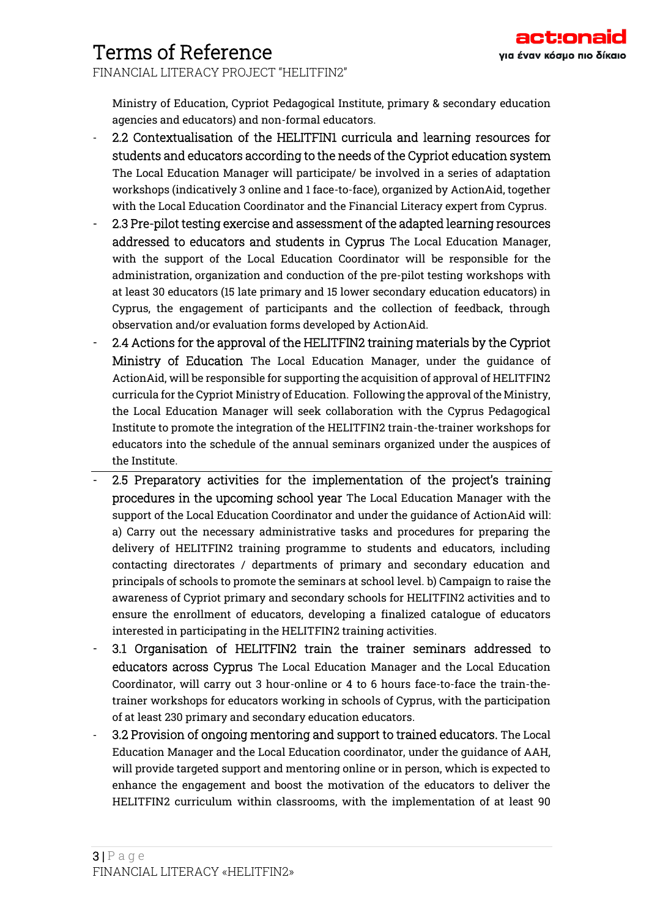FINANCIAL LITERACY PROJECT "HELITFIN2"

Ministry of Education, Cypriot Pedagogical Institute, primary & secondary education agencies and educators) and non-formal educators.

- 2.2 Contextualisation of the HELITFIN1 curricula and learning resources for students and educators according to the needs of the Cypriot education system The Local Education Manager will participate/ be involved in a series of adaptation workshops (indicatively 3 online and 1 face-to-face), organized by ActionAid, together with the Local Education Coordinator and the Financial Literacy expert from Cyprus.
- 2.3 Pre-pilot testing exercise and assessment of the adapted learning resources addressed to educators and students in Cyprus The Local Education Manager, with the support of the Local Education Coordinator will be responsible for the administration, organization and conduction of the pre-pilot testing workshops with at least 30 educators (15 late primary and 15 lower secondary education educators) in Cyprus, the engagement of participants and the collection of feedback, through observation and/or evaluation forms developed by ActionAid.
- 2.4 Actions for the approval of the HELITFIN2 training materials by the Cypriot Ministry of Education The Local Education Manager, under the guidance of ActionAid, will be responsible for supporting the acquisition of approval of HELITFIN2 curricula for the Cypriot Ministry of Education. Following the approval of the Ministry, the Local Education Manager will seek collaboration with the Cyprus Pedagogical Institute to promote the integration of the HELITFIN2 train-the-trainer workshops for educators into the schedule of the annual seminars organized under the auspices of the Institute.
- 2.5 Preparatory activities for the implementation of the project's training procedures in the upcoming school year The Local Education Manager with the support of the Local Education Coordinator and under the guidance of ActionAid will: a) Carry out the necessary administrative tasks and procedures for preparing the delivery of HELITFIN2 training programme to students and educators, including contacting directorates / departments of primary and secondary education and principals of schools to promote the seminars at school level. b) Campaign to raise the awareness of Cypriot primary and secondary schools for HELITFIN2 activities and to ensure the enrollment of educators, developing a finalized catalogue of educators interested in participating in the HELITFIN2 training activities.
- 3.1 Organisation of HELITFIN2 train the trainer seminars addressed to educators across Cyprus The Local Education Manager and the Local Education Coordinator, will carry out 3 hour-online or 4 to 6 hours face-to-face the train-thetrainer workshops for educators working in schools of Cyprus, with the participation of at least 230 primary and secondary education educators.
- 3.2 Provision of ongoing mentoring and support to trained educators. The Local Education Manager and the Local Education coordinator, under the guidance of AAH, will provide targeted support and mentoring online or in person, which is expected to enhance the engagement and boost the motivation of the educators to deliver the HELITFIN2 curriculum within classrooms, with the implementation of at least 90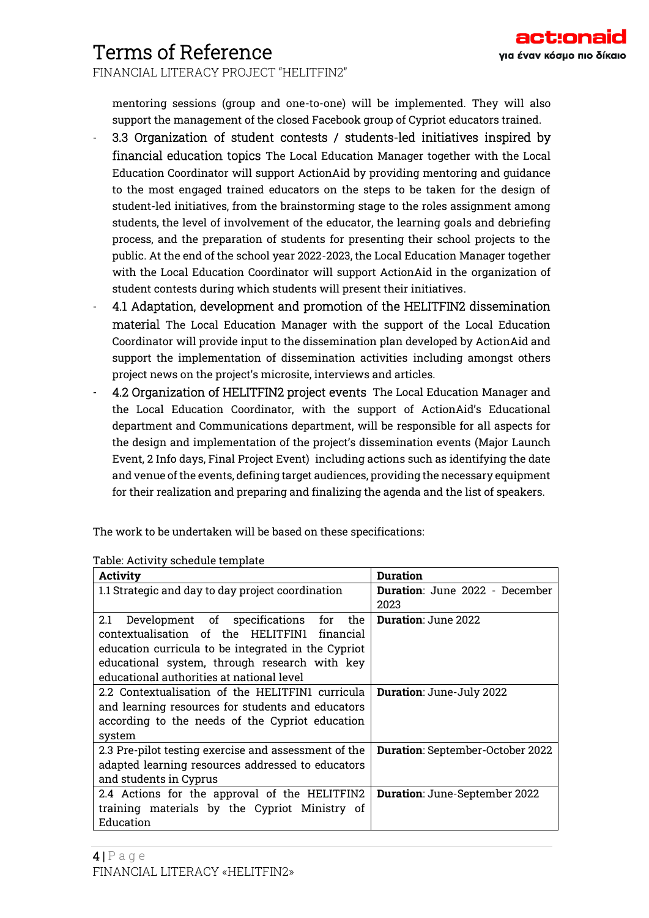FINANCIAL LITERACY PROJECT "HELITFIN2"

mentoring sessions (group and one-to-one) will be implemented. They will also support the management of the closed Facebook group of Cypriot educators trained.

- 3.3 Organization of student contests / students-led initiatives inspired by financial education topics The Local Education Manager together with the Local Education Coordinator will support ActionAid by providing mentoring and guidance to the most engaged trained educators on the steps to be taken for the design of student-led initiatives, from the brainstorming stage to the roles assignment among students, the level of involvement of the educator, the learning goals and debriefing process, and the preparation of students for presenting their school projects to the public. At the end of the school year 2022-2023, the Local Education Manager together with the Local Education Coordinator will support ActionAid in the organization of student contests during which students will present their initiatives.
- 4.1 Adaptation, development and promotion of the HELITFIN2 dissemination material The Local Education Manager with the support of the Local Education Coordinator will provide input to the dissemination plan developed by ActionAid and support the implementation of dissemination activities including amongst others project news on the project's microsite, interviews and articles.
- 4.2 Organization of HELITFIN2 project events The Local Education Manager and the Local Education Coordinator, with the support of ActionAid's Educational department and Communications department, will be responsible for all aspects for the design and implementation of the project's dissemination events (Major Launch Event, 2 Info days, Final Project Event) including actions such as identifying the date and venue of the events, defining target audiences, providing the necessary equipment for their realization and preparing and finalizing the agenda and the list of speakers.

The work to be undertaken will be based on these specifications:

| Activity                                             | Duration                              |  |
|------------------------------------------------------|---------------------------------------|--|
| 1.1 Strategic and day to day project coordination    | <b>Duration:</b> June 2022 - December |  |
|                                                      | 2023                                  |  |
| Development of specifications for<br>the<br>2.1      | <b>Duration: June 2022</b>            |  |
| contextualisation of the HELITFIN1 financial         |                                       |  |
| education curricula to be integrated in the Cypriot  |                                       |  |
| educational system, through research with key        |                                       |  |
| educational authorities at national level            |                                       |  |
| 2.2 Contextualisation of the HELITFIN1 curricula     | Duration: June-July 2022              |  |
| and learning resources for students and educators    |                                       |  |
| according to the needs of the Cypriot education      |                                       |  |
| system                                               |                                       |  |
| 2.3 Pre-pilot testing exercise and assessment of the | Duration: September-October 2022      |  |
| adapted learning resources addressed to educators    |                                       |  |
| and students in Cyprus                               |                                       |  |
| 2.4 Actions for the approval of the HELITFIN2        | Duration: June-September 2022         |  |
| training materials by the Cypriot Ministry of        |                                       |  |
| Education                                            |                                       |  |

Table: Activity schedule template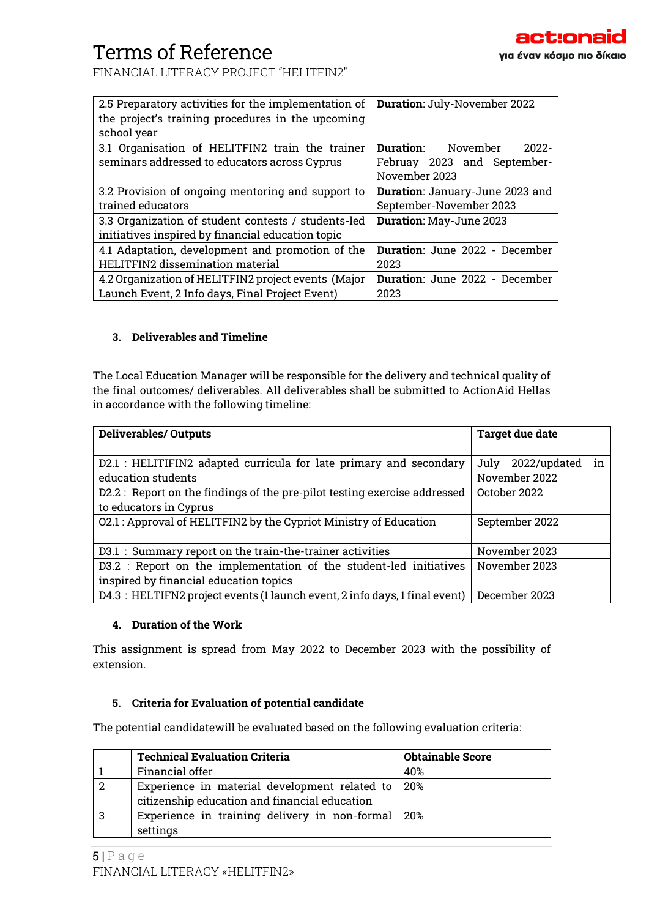FINANCIAL LITERACY PROJECT "HELITFIN2"

| 2.5 Preparatory activities for the implementation of | Duration: July-November 2022             |  |
|------------------------------------------------------|------------------------------------------|--|
| the project's training procedures in the upcoming    |                                          |  |
| school year                                          |                                          |  |
| 3.1 Organisation of HELITFIN2 train the trainer      | <b>Duration:</b><br>November<br>$2022 -$ |  |
| seminars addressed to educators across Cyprus        | Februay 2023 and September-              |  |
|                                                      | November 2023                            |  |
| 3.2 Provision of ongoing mentoring and support to    | Duration: January-June 2023 and          |  |
| trained educators                                    | September-November 2023                  |  |
| 3.3 Organization of student contests / students-led  | Duration: May-June 2023                  |  |
| initiatives inspired by financial education topic    |                                          |  |
| 4.1 Adaptation, development and promotion of the     | <b>Duration:</b> June 2022 - December    |  |
| HELITFIN2 dissemination material                     | 2023                                     |  |
| 4.2 Organization of HELITFIN2 project events (Major  | Duration: June 2022 - December           |  |
| Launch Event, 2 Info days, Final Project Event)      | 2023                                     |  |

## **3. Deliverables and Timeline**

The Local Education Manager will be responsible for the delivery and technical quality of the final outcomes/ deliverables. All deliverables shall be submitted to ActionAid Hellas in accordance with the following timeline:

| <b>Deliverables/ Outputs</b>                                                | <b>Target due date</b>     |  |
|-----------------------------------------------------------------------------|----------------------------|--|
|                                                                             |                            |  |
| D2.1 : HELITIFIN2 adapted curricula for late primary and secondary          | in<br>2022/updated<br>July |  |
| education students                                                          | November 2022              |  |
| D2.2: Report on the findings of the pre-pilot testing exercise addressed    | October 2022               |  |
| to educators in Cyprus                                                      |                            |  |
| 02.1 : Approval of HELITFIN2 by the Cypriot Ministry of Education           | September 2022             |  |
|                                                                             |                            |  |
| D3.1: Summary report on the train-the-trainer activities                    | November 2023              |  |
| D3.2 : Report on the implementation of the student-led initiatives          | November 2023              |  |
| inspired by financial education topics                                      |                            |  |
| D4.3 : HELTIFN2 project events (1 launch event, 2 info days, 1 final event) | December 2023              |  |

### **4. Duration of the Work**

This assignment is spread from May 2022 to December 2023 with the possibility of extension.

### **5. Criteria for Evaluation of potential candidate**

The potential candidatewill be evaluated based on the following evaluation criteria:

|    | <b>Technical Evaluation Criteria</b>          | <b>Obtainable Score</b> |
|----|-----------------------------------------------|-------------------------|
|    | Financial offer                               | 40%                     |
|    | Experience in material development related to | 20%                     |
|    | citizenship education and financial education |                         |
| -3 | Experience in training delivery in non-formal | 20%                     |
|    | settings                                      |                         |